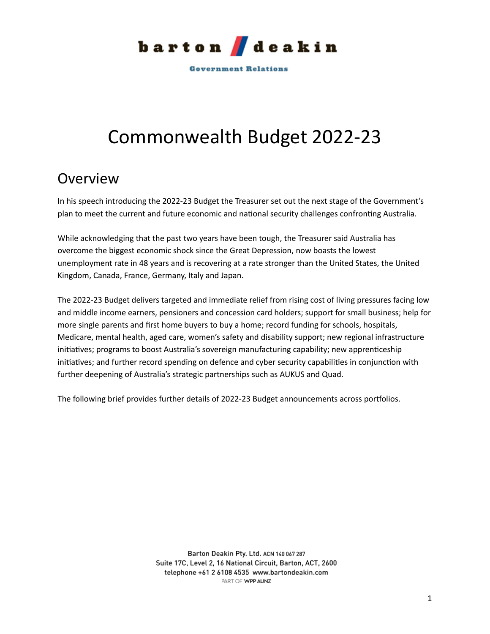

**Government Relations** 

# Commonwealth Budget 2022-23

## <span id="page-0-0"></span>Overview

In his speech introducing the 2022-23 Budget the Treasurer set out the next stage of the Government's plan to meet the current and future economic and national security challenges confronting Australia.

While acknowledging that the past two years have been tough, the Treasurer said Australia has overcome the biggest economic shock since the Great Depression, now boasts the lowest unemployment rate in 48 years and is recovering at a rate stronger than the United States, the United Kingdom, Canada, France, Germany, Italy and Japan.

The 2022-23 Budget delivers targeted and immediate relief from rising cost of living pressures facing low and middle income earners, pensioners and concession card holders; support for small business; help for more single parents and first home buyers to buy a home; record funding for schools, hospitals, Medicare, mental health, aged care, women's safety and disability support; new regional infrastructure initiatives; programs to boost Australia's sovereign manufacturing capability; new apprenticeship initiatives; and further record spending on defence and cyber security capabilities in conjunction with further deepening of Australia's strategic partnerships such as AUKUS and Quad.

The following brief provides further details of 2022-23 Budget announcements across portfolios.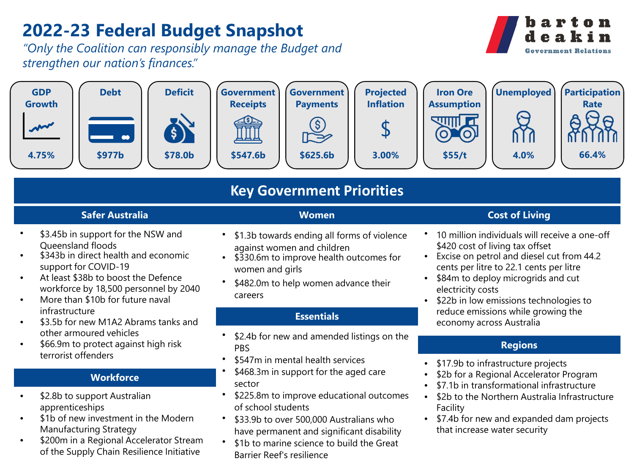# **2022-23 Federal Budget Snapshot**

*"Only the Coalition can responsibly manage the Budget and strengthen our nation's finances."*





## **Key Government Priorities**

## **Safer Australia**

**Women**

- \$3.45b in support for the NSW and Queensland floods
- \$343b in direct health and economic support for COVID-19
- At least \$38b to boost the Defence workforce by 18,500 personnel by 2040
- More than \$10b for future naval infrastructure
- \$3.5b for new M1A2 Abrams tanks and other armoured vehicles
- \$66.9m to protect against high risk terrorist offenders

## **Workforce**

- \$2.8b to support Australian apprenticeships
- \$1b of new investment in the Modern Manufacturing Strategy
- \$200m in a Regional Accelerator Stream of the Supply Chain Resilience Initiative
- \$1.3b towards ending all forms of violence against women and children
- \$330.6m to improve health outcomes for women and girls
- \$482.0m to help women advance their careers

## **Essentials**

- \$2.4b for new and amended listings on the PBS
- \$547m in mental health services
- \$468.3m in support for the aged care sector
- \$225.8m to improve educational outcomes of school students
- \$33.9b to over 500,000 Australians who have permanent and significant disability
- \$1b to marine science to build the Great Barrier Reef's resilience

## **Cost of Living**

- 10 million individuals will receive a one-off \$420 cost of living tax offset
- Excise on petrol and diesel cut from 44.2 cents per litre to 22.1 cents per litre
- \$84m to deploy microgrids and cut electricity costs
- \$22b in low emissions technologies to reduce emissions while growing the economy across Australia

## **Regions**

- \$17.9b to infrastructure projects
- \$2b for a Regional Accelerator Program
- \$7.1b in transformational infrastructure
- \$2b to the Northern Australia Infrastructure Facility
- \$7.4b for new and expanded dam projects that increase water security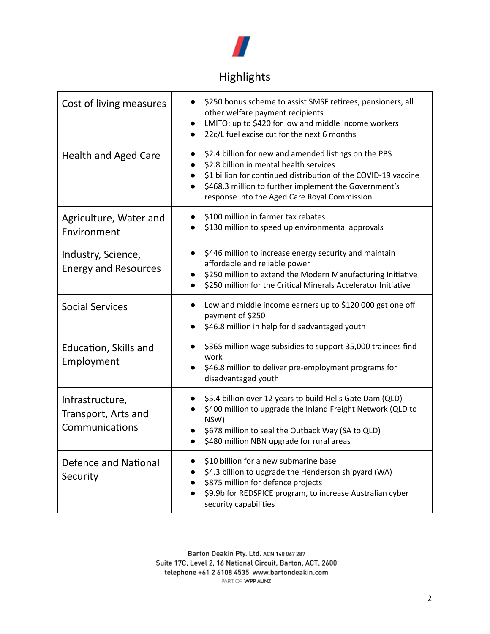

## Highlights

<span id="page-2-0"></span>

| Cost of living measures                                  | \$250 bonus scheme to assist SMSF retirees, pensioners, all<br>other welfare payment recipients<br>LMITO: up to \$420 for low and middle income workers<br>22c/L fuel excise cut for the next 6 months                                                                                                |
|----------------------------------------------------------|-------------------------------------------------------------------------------------------------------------------------------------------------------------------------------------------------------------------------------------------------------------------------------------------------------|
| <b>Health and Aged Care</b>                              | \$2.4 billion for new and amended listings on the PBS<br>$\bullet$<br>\$2.8 billion in mental health services<br>\$1 billion for continued distribution of the COVID-19 vaccine<br>\$468.3 million to further implement the Government's<br>$\bullet$<br>response into the Aged Care Royal Commission |
| Agriculture, Water and<br>Environment                    | \$100 million in farmer tax rebates<br>\$130 million to speed up environmental approvals                                                                                                                                                                                                              |
| Industry, Science,<br><b>Energy and Resources</b>        | \$446 million to increase energy security and maintain<br>$\bullet$<br>affordable and reliable power<br>\$250 million to extend the Modern Manufacturing Initiative<br>\$250 million for the Critical Minerals Accelerator Initiative                                                                 |
| <b>Social Services</b>                                   | Low and middle income earners up to \$120 000 get one off<br>payment of \$250<br>\$46.8 million in help for disadvantaged youth                                                                                                                                                                       |
| Education, Skills and<br>Employment                      | \$365 million wage subsidies to support 35,000 trainees find<br>work<br>\$46.8 million to deliver pre-employment programs for<br>disadvantaged youth                                                                                                                                                  |
| Infrastructure,<br>Transport, Arts and<br>Communications | \$5.4 billion over 12 years to build Hells Gate Dam (QLD)<br>\$400 million to upgrade the Inland Freight Network (QLD to<br>NSW)<br>\$678 million to seal the Outback Way (SA to QLD)<br>\$480 million NBN upgrade for rural areas<br>$\bullet$                                                       |
| <b>Defence and National</b><br>Security                  | \$10 billion for a new submarine base<br>$\bullet$<br>\$4.3 billion to upgrade the Henderson shipyard (WA)<br>$\bullet$<br>\$875 million for defence projects<br>$\bullet$<br>\$9.9b for REDSPICE program, to increase Australian cyber<br>security capabilities                                      |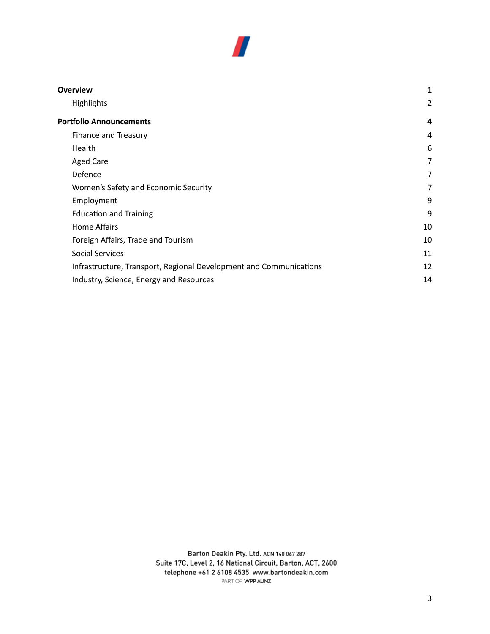

| <b>Overview</b>                                                    |                |
|--------------------------------------------------------------------|----------------|
| <b>Highlights</b>                                                  | 2              |
| <b>Portfolio Announcements</b>                                     | 4              |
| Finance and Treasury                                               | 4              |
| Health                                                             | 6              |
| <b>Aged Care</b>                                                   | $\overline{7}$ |
| Defence                                                            | $\overline{7}$ |
| Women's Safety and Economic Security                               | 7              |
| Employment                                                         | 9              |
| <b>Education and Training</b>                                      | 9              |
| Home Affairs                                                       | 10             |
| Foreign Affairs, Trade and Tourism                                 | 10             |
| <b>Social Services</b>                                             | 11             |
| Infrastructure, Transport, Regional Development and Communications | 12             |
| Industry, Science, Energy and Resources                            |                |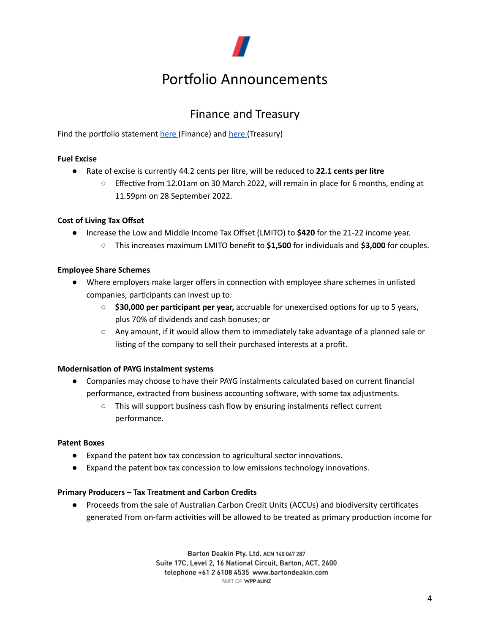

# Portfolio Announcements

## Finance and Treasury

<span id="page-4-1"></span><span id="page-4-0"></span>Find the portfolio statement [here](https://treasury.gov.au/sites/default/files/2022-03/tsy_pbs_2022-23.pdf) (Finance) and here (Treasury)

## **Fuel Excise**

- Rate of excise is currently 44.2 cents per litre, will be reduced to **22.1 cents per litre**
	- $\circ$  Effective from 12.01am on 30 March 2022, will remain in place for 6 months, ending at 11.59pm on 28 September 2022.

## **Cost of Living Tax Offset**

- Increase the Low and Middle Income Tax Offset (LMITO) to **\$420** for the 21-22 income year.
	- This increases maximum LMITO benefit to **\$1,500** for individuals and **\$3,000** for couples.

## **Employee Share Schemes**

- Where employers make larger offers in connection with employee share schemes in unlisted companies, participants can invest up to:
	- **\$30,000 per participant per year,** accruable for unexercised options for up to 5 years, plus 70% of dividends and cash bonuses; or
	- $\circ$  Any amount, if it would allow them to immediately take advantage of a planned sale or listing of the company to sell their purchased interests at a profit.

## **Modernisation of PAYG instalment systems**

- Companies may choose to have their PAYG instalments calculated based on current financial performance, extracted from business accounting software, with some tax adjustments.
	- This will support business cash flow by ensuring instalments reflect current performance.

## **Patent Boxes**

- Expand the patent box tax concession to agricultural sector innovations.
- $\bullet$  Expand the patent box tax concession to low emissions technology innovations.

## **Primary Producers – Tax Treatment and Carbon Credits**

● Proceeds from the sale of Australian Carbon Credit Units (ACCUs) and biodiversity certificates generated from on-farm activities will be allowed to be treated as primary production income for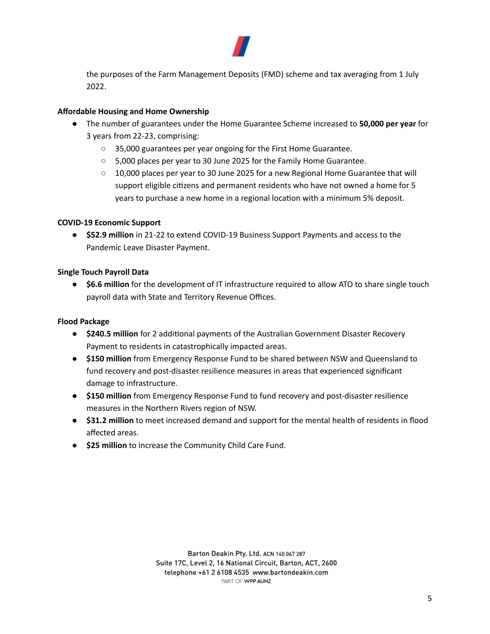

the purposes of the Farm Management Deposits (FMD) scheme and tax averaging from 1 July 2022.

## **Affordable Housing and Home Ownership**

- The number of guarantees under the Home Guarantee Scheme increased to **50,000 per year** for 3 years from 22-23, comprising:
	- 35,000 guarantees per year ongoing for the First Home Guarantee.
	- 5,000 places per year to 30 June 2025 for the Family Home Guarantee.
	- $\circ$  10,000 places per year to 30 June 2025 for a new Regional Home Guarantee that will support eligible citizens and permanent residents who have not owned a home for 5 years to purchase a new home in a regional location with a minimum 5% deposit.

## **COVID-19 Economic Support**

● **\$52.9 million** in 21-22 to extend COVID-19 Business Support Payments and access to the Pandemic Leave Disaster Payment.

## **Single Touch Payroll Data**

● **\$6.6 million** for the development of IT infrastructure required to allow ATO to share single touch payroll data with State and Territory Revenue Offices.

## **Flood Package**

- **\$240.5 million** for 2 additional payments of the Australian Government Disaster Recovery Payment to residents in catastrophically impacted areas.
- **\$150 million** from Emergency Response Fund to be shared between NSW and Queensland to fund recovery and post-disaster resilience measures in areas that experienced significant damage to infrastructure.
- **\$150 million** from Emergency Response Fund to fund recovery and post-disaster resilience measures in the Northern Rivers region of NSW.
- **\$31.2 million** to meet increased demand and support for the mental health of residents in flood affected areas.
- **\$25 million** to increase the Community Child Care Fund.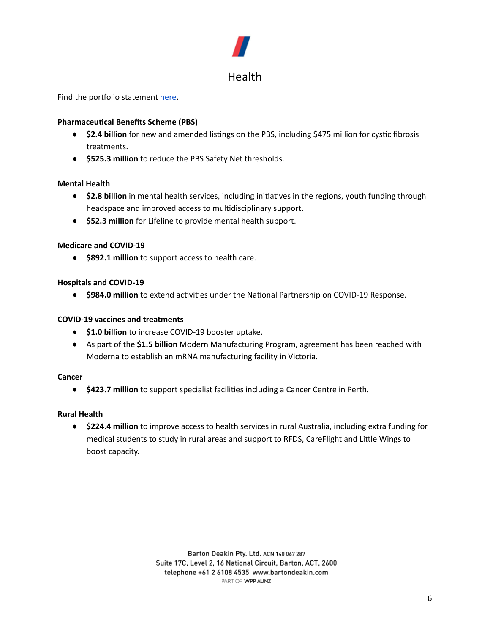## Health

<span id="page-6-0"></span>Find the portfolio statement [here](https://www.health.gov.au/sites/default/files/documents/2022/03/budget-2022-23-portfolio-budget-statements-portfolio-budget-statements_0.pdf).

## **Pharmaceutical Benefits Scheme (PBS)**

- **\$2.4 billion** for new and amended listings on the PBS, including \$475 million for cystic fibrosis treatments.
- **\$525.3 million** to reduce the PBS Safety Net thresholds.

## **Mental Health**

- \$2.8 **billion** in mental health services, including initiatives in the regions, youth funding through headspace and improved access to multidisciplinary support.
- **\$52.3 million** for Lifeline to provide mental health support.

## **Medicare and COVID-19**

● **\$892.1 million** to support access to health care.

## **Hospitals and COVID-19**

● \$984.0 million to extend activities under the National Partnership on COVID-19 Response.

## **COVID-19 vaccines and treatments**

- **\$1.0 billion** to increase COVID-19 booster uptake.
- As part of the **\$1.5 billion** Modern Manufacturing Program, agreement has been reached with Moderna to establish an mRNA manufacturing facility in Victoria.

## **Cancer**

● **\$423.7 million** to support specialist facilies including a Cancer Centre in Perth.

## **Rural Health**

● **\$224.4 million** to improve access to health services in rural Australia, including extra funding for medical students to study in rural areas and support to RFDS, CareFlight and Little Wings to boost capacity.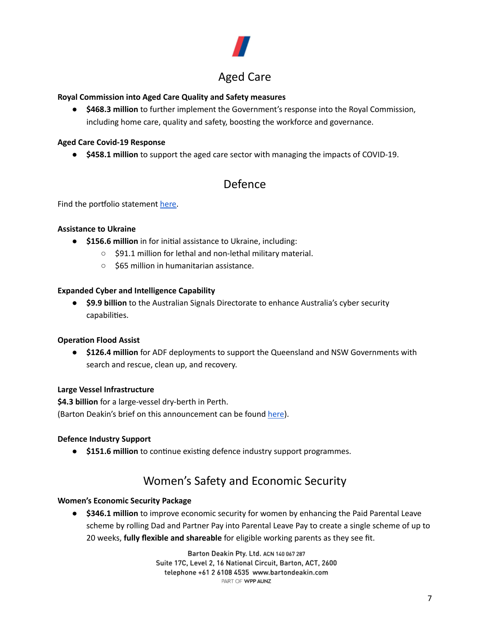

## <span id="page-7-0"></span>**Royal Commission into Aged Care Quality and Safety measures**

● **\$468.3 million** to further implement the Government's response into the Royal Commission, including home care, quality and safety, boosting the workforce and governance.

#### **Aged Care Covid-19 Response**

<span id="page-7-1"></span>● **\$458.1 million** to support the aged care sector with managing the impacts of COVID-19.

## Defence

Find the portfolio statement [here](https://www.defence.gov.au/sites/default/files/2022-03/2022-23_Defence_PBS_00_Complete_0.pdf).

#### **Assistance to Ukraine**

- **\$156.6 million** in for initial assistance to Ukraine, including:
	- \$91.1 million for lethal and non-lethal military material.
	- \$65 million in humanitarian assistance.

#### **Expanded Cyber and Intelligence Capability**

● **\$9.9 billion** to the Australian Signals Directorate to enhance Australia's cyber security capabilities.

## **Operation Flood Assist**

● **\$126.4 million** for ADF deployments to support the Queensland and NSW Governments with search and rescue, clean up, and recovery.

#### **Large Vessel Infrastructure**

**\$4.3 billion** for a large-vessel dry-berth in Perth. (Barton Deakin's brief on this announcement can be found [here\)](https://bartondeakin.com/briefs/barton-deakin-brief-henderson-shipyard/).

#### **Defence Industry Support**

<span id="page-7-2"></span>● **\$151.6 million** to continue existing defence industry support programmes.

## Women's Safety and Economic Security

#### **Women's Economic Security Package**

● **\$346.1 million** to improve economic security for women by enhancing the Paid Parental Leave scheme by rolling Dad and Partner Pay into Parental Leave Pay to create a single scheme of up to 20 weeks, **fully flexible and shareable** for eligible working parents as they see fit.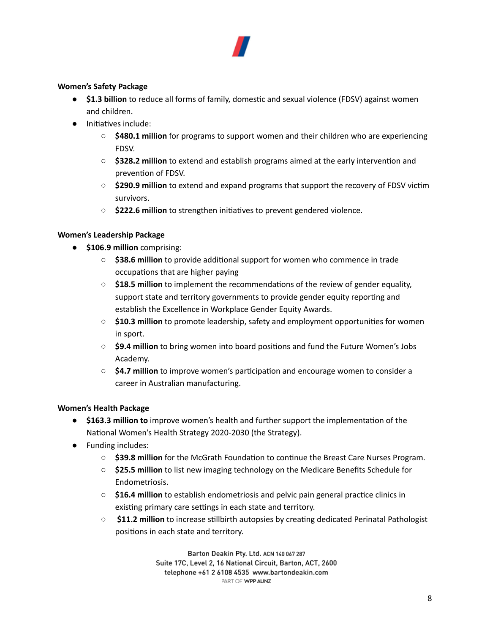

## **Women's Safety Package**

- **•** \$1.3 billion to reduce all forms of family, domestic and sexual violence (FDSV) against women and children.
- Initiatives include:
	- **\$480.1 million** for programs to support women and their children who are experiencing FDSV.
	- **\$328.2 million** to extend and establish programs aimed at the early intervention and prevention of FDSV.
	- **\$290.9 million** to extend and expand programs that support the recovery of FDSV victim survivors.
	- \$222.6 million to strengthen initiatives to prevent gendered violence.

## **Women's Leadership Package**

- **\$106.9 million** comprising:
	- \$38.6 million to provide additional support for women who commence in trade occupations that are higher paying
	- **\$18.5 million** to implement the recommendations of the review of gender equality, support state and territory governments to provide gender equity reporting and establish the Excellence in Workplace Gender Equity Awards.
	- \$10.3 million to promote leadership, safety and employment opportunities for women in sport.
	- \$9.4 million to bring women into board positions and fund the Future Women's Jobs Academy.
	- \$4.7 million to improve women's participation and encourage women to consider a career in Australian manufacturing.

## **Women's Health Package**

- **•** \$163.3 million to improve women's health and further support the implementation of the National Women's Health Strategy 2020-2030 (the Strategy).
- Funding includes:
	- **S39.8 million** for the McGrath Foundation to continue the Breast Care Nurses Program.
	- **\$25.5 million** to list new imaging technology on the Medicare Benefits Schedule for Endometriosis.
	- **\$16.4 million** to establish endometriosis and pelvic pain general practice clinics in existing primary care settings in each state and territory.
	- **\$11.2 million** to increase stillbirth autopsies by creating dedicated Perinatal Pathologist positions in each state and territory.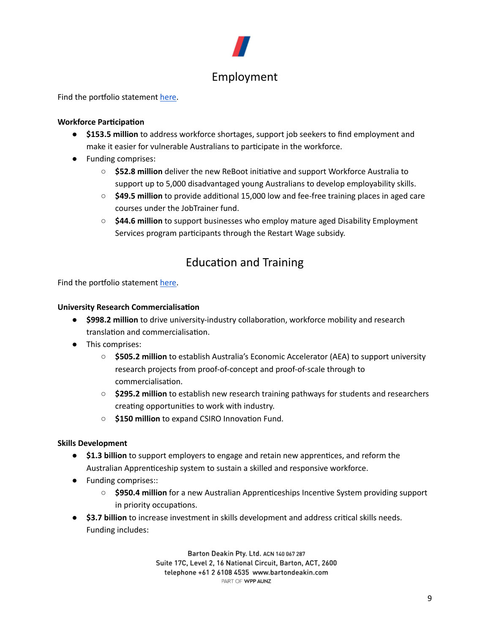

## <span id="page-9-0"></span>Find the portfolio statement [here](https://www.dese.gov.au/download/13616/portfolio-budget-statements-2022-23/26767/portfolio-budget-statements-2022-23/pdf/en).

## **Workforce Participation**

- **\$153.5 million** to address workforce shortages, support job seekers to find employment and make it easier for vulnerable Australians to participate in the workforce.
- Funding comprises:
	- \$52.8 million deliver the new ReBoot initiative and support Workforce Australia to support up to 5,000 disadvantaged young Australians to develop employability skills.
	- **\$49.5 million** to provide additional 15,000 low and fee-free training places in aged care courses under the JobTrainer fund.
	- **\$44.6 million** to support businesses who employ mature aged Disability Employment Services program participants through the Restart Wage subsidy.

## **Education and Training**

<span id="page-9-1"></span>Find the portfolio statement [here](https://www.dese.gov.au/download/13616/portfolio-budget-statements-2022-23/26767/portfolio-budget-statements-2022-23/pdf/en).

#### **University Research Commercialisation**

- \$998.2 million to drive university-industry collaboration, workforce mobility and research translation and commercialisation.
- This comprises:
	- **\$505.2 million** to establish Australia's Economic Accelerator (AEA) to support university research projects from proof-of-concept and proof-of-scale through to commercialisation.
	- **\$295.2 million** to establish new research training pathways for students and researchers creating opportunities to work with industry.
	- \$150 million to expand CSIRO Innovation Fund.

## **Skills Development**

- **\$1.3 billion** to support employers to engage and retain new apprentices, and reform the Australian Apprenticeship system to sustain a skilled and responsive workforce.
- Funding comprises::
	- **O** \$950.4 million for a new Australian Apprenticeships Incentive System providing support in priority occupations.
- **\$3.7 billion** to increase investment in skills development and address critical skills needs. Funding includes: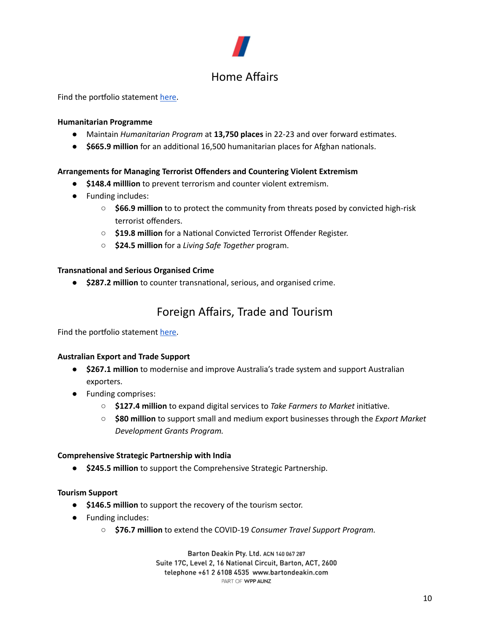# Home Affairs

## <span id="page-10-0"></span>Find the portfolio statement [here](https://www.homeaffairs.gov.au/reports-and-pubs/budgets/2022-23-home-affairs-pbs-full.pdf).

## **Humanitarian Programme**

- Maintain *Humanitarian Program* at 13,750 places in 22-23 and over forward estimates.
- \$665.9 million for an additional 16,500 humanitarian places for Afghan nationals.

## **Arrangements for Managing Terrorist Offenders and Countering Violent Extremism**

- **\$148.4 milllion** to prevent terrorism and counter violent extremism.
- Funding includes:
	- **\$66.9 million** to to protect the community from threats posed by convicted high-risk terrorist offenders.
	- \$19.8 million for a National Convicted Terrorist Offender Register.
	- **\$24.5 million** for a *Living Safe Together* program.

## **Transnational and Serious Organised Crime**

<span id="page-10-1"></span>● **\$287.2 million** to counter transnational, serious, and organised crime.

## Foreign Affairs, Trade and Tourism

Find the portfolio statement [here](https://www.dfat.gov.au/sites/default/files/pbs-2022-23-foreign-affairs-and-trade-portfolio-budget-statements-2022-23.pdf).

## **Australian Export and Trade Support**

- **\$267.1 million** to modernise and improve Australia's trade system and support Australian exporters.
- Funding comprises:
	- **\$127.4 million** to expand digital services to *Take Farmers* to *Market* initiative.
	- **\$80 million** to support small and medium export businesses through the *Export Market Development Grants Program.*

## **Comprehensive Strategic Partnership with India**

● **\$245.5 million** to support the Comprehensive Strategic Partnership.

## **Tourism Support**

- **\$146.5 million** to support the recovery of the tourism sector.
- Funding includes:
	- **\$76.7 million** to extend the COVID-19 *Consumer Travel Support Program.*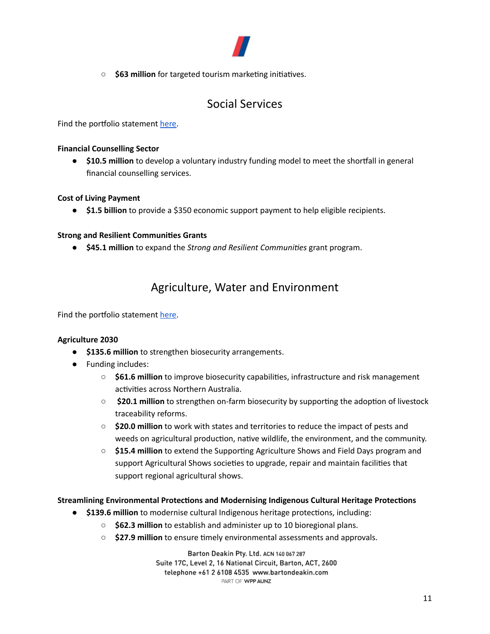

○ **\$63 million** for targeted tourism marketing initiatives.

## Social Services

<span id="page-11-0"></span>Find the portfolio statement [here](https://www.dss.gov.au/publications-articles-corporate-publications-budget-and-additional-estimates-statements/budget-2022-23).

## **Financial Counselling Sector**

● **\$10.5 million** to develop a voluntary industry funding model to meet the shortfall in general financial counselling services.

## **Cost of Living Payment**

● **\$1.5 billion** to provide a \$350 economic support payment to help eligible recipients.

## **Strong and Resilient Communies Grants**

● **\$45.1 million** to expand the *Strong and Resilient Communies* grant program.

## Agriculture, Water and Environment

Find the portfolio statement [here](https://www.awe.gov.au/sites/default/files/documents/pbs-2022-23-dawe.pdf).

## **Agriculture 2030**

- **\$135.6 million** to strengthen biosecurity arrangements.
- Funding includes:
	- **\$61.6 million** to improve biosecurity capabilities, infrastructure and risk management activities across Northern Australia.
	- **\$20.1 million** to strengthen on-farm biosecurity by supporting the adoption of livestock traceability reforms.
	- **\$20.0 million** to work with states and territories to reduce the impact of pests and weeds on agricultural production, native wildlife, the environment, and the community.
	- **\$15.4 million** to extend the Supporting Agriculture Shows and Field Days program and support Agricultural Shows societies to upgrade, repair and maintain facilities that support regional agricultural shows.

**Streamlining Environmental Protections and Modernising Indigenous Cultural Heritage Protections** 

- **\$139.6 million** to modernise cultural Indigenous heritage protections, including:
	- **\$62.3 million** to establish and administer up to 10 bioregional plans.
	- **\$27.9 million** to ensure timely environmental assessments and approvals.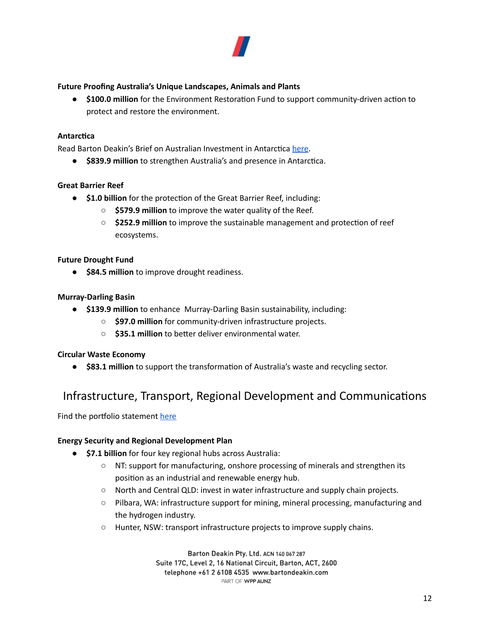

## **Future Proofing Australia's Unique Landscapes, Animals and Plants**

**• \$100.0 million** for the Environment Restoration Fund to support community-driven action to protect and restore the environment.

## **Antarctica**

Read Barton Deakin's Brief on Australian Investment in Antarctica [here.](https://bartondeakin.com/briefs/barton-deakin-brief-investment-in-australian-antarctica/)

● \$839.9 million to strengthen Australia's and presence in Antarctica.

## **Great Barrier Reef**

- **\$1.0 billion** for the protection of the Great Barrier Reef, including:
	- **\$579.9 million** to improve the water quality of the Reef.
	- \$252.9 million to improve the sustainable management and protection of reef ecosystems.

## **Future Drought Fund**

● **\$84.5 million** to improve drought readiness.

## **Murray-Darling Basin**

- **\$139.9 million** to enhance Murray-Darling Basin sustainability, including:
	- **\$97.0 million** for community-driven infrastructure projects.
	- **\$35.1 million** to better deliver environmental water.

## **Circular Waste Economy**

● **\$83.1 million** to support the transformation of Australia's waste and recycling sector.

## <span id="page-12-0"></span>Infrastructure, Transport, Regional Development and Communications

Find the portfolio statement [here](https://www.infrastructure.gov.au/about-us/corporate-reporting/budgets/budget-2022-23)

## **Energy Security and Regional Development Plan**

- **\$7.1 billion** for four key regional hubs across Australia:
	- NT: support for manufacturing, onshore processing of minerals and strengthen its position as an industrial and renewable energy hub.
	- North and Central QLD: invest in water infrastructure and supply chain projects.
	- Pilbara, WA: infrastructure support for mining, mineral processing, manufacturing and the hydrogen industry.
	- Hunter, NSW: transport infrastructure projects to improve supply chains.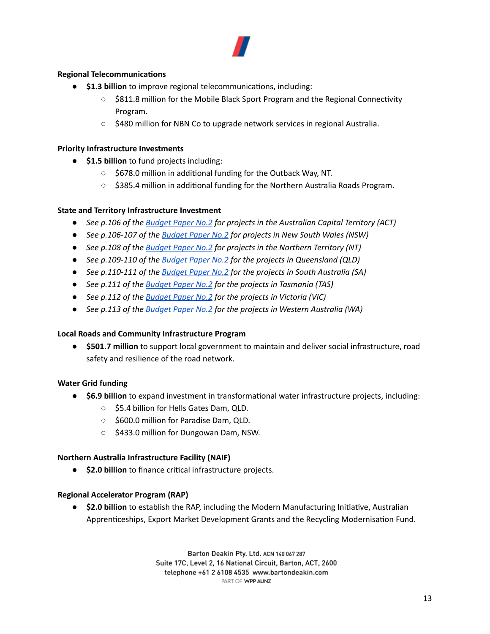

## **Regional Telecommunications**

- **•** \$1.3 **billion** to improve regional telecommunications, including:
	- \$811.8 million for the Mobile Black Sport Program and the Regional Connectivity Program.
	- \$480 million for NBN Co to upgrade network services in regional Australia.

#### **Priority Infrastructure Investments**

- **\$1.5 billion** to fund projects including:
	- \$678.0 million in additional funding for the Outback Way, NT.
	- $\circ$  \$385.4 million in additional funding for the Northern Australia Roads Program.

## **State and Territory Infrastructure Investment**

- *● See p.106 of the [Budget](https://budget.gov.au/2022-23/content/bp2/download/bp2_03_payment.pdf) Paper No.2 for projects in the Australian Capital Territory (ACT)*
- *● See p.106-107 of the [Budget](https://budget.gov.au/2022-23/content/bp2/download/bp2_03_payment.pdf) Paper No.2 for projects in New South Wales (NSW)*
- *● See p.108 of the [Budget](https://budget.gov.au/2022-23/content/bp2/download/bp2_03_payment.pdf) Paper No.2 for projects in the Northern Territory (NT)*
- *● See p.109-110 of the [Budget](https://budget.gov.au/2022-23/content/bp2/download/bp2_03_payment.pdf) Paper No.2 for the projects in Queensland (QLD)*
- *● See p.110-111 of the [Budget](https://budget.gov.au/2022-23/content/bp2/download/bp2_03_payment.pdf) Paper No.2 for the projects in South Australia (SA)*
- *● See p.111 of the [Budget](https://budget.gov.au/2022-23/content/bp2/download/bp2_03_payment.pdf) Paper No.2 for the projects in Tasmania (TAS)*
- *● See p.112 of the [Budget](https://budget.gov.au/2022-23/content/bp2/download/bp2_03_payment.pdf) Paper No.2 for the projects in Victoria (VIC)*
- *● See p.113 of the [Budget](https://budget.gov.au/2022-23/content/bp2/download/bp2_03_payment.pdf) Paper No.2 for the projects in Western Australia (WA)*

## **Local Roads and Community Infrastructure Program**

● **\$501.7 million** to support local government to maintain and deliver social infrastructure, road safety and resilience of the road network.

## **Water Grid funding**

- **\$6.9 billion** to expand investment in transformational water infrastructure projects, including:
	- \$5.4 billion for Hells Gates Dam, QLD.
	- \$600.0 million for Paradise Dam, QLD.
	- \$433.0 million for Dungowan Dam, NSW.

## **Northern Australia Infrastructure Facility (NAIF)**

**• \$2.0 billion** to finance critical infrastructure projects.

## **Regional Accelerator Program (RAP)**

● **\$2.0 billion** to establish the RAP, including the Modern Manufacturing Initiative, Australian Apprenticeships, Export Market Development Grants and the Recycling Modernisation Fund.